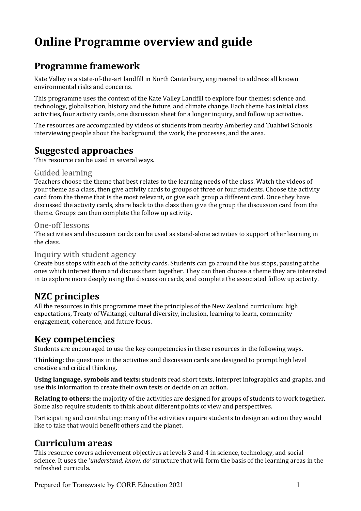# **Online Programme overview and guide**

# **Programme framework**

Kate Valley is a state-of-the-art landfill in North Canterbury, engineered to address all known environmental risks and concerns.

This programme uses the context of the Kate Valley Landfill to explore four themes: science and technology, globalisation, history and the future, and climate change. Each theme has initial class activities, four activity cards, one discussion sheet for a longer inquiry, and follow up activities.

The resources are accompanied by videos of students from nearby Amberley and Tuahiwi Schools interviewing people about the background, the work, the processes, and the area.

# **Suggested approaches**

This resource can be used in several ways.

#### Guided learning

Teachers choose the theme that best relates to the learning needs of the class. Watch the videos of your theme as a class, then give activity cards to groups of three or four students. Choose the activity card from the theme that is the most relevant, or give each group a different card. Once they have discussed the activity cards, share back to the class then give the group the discussion card from the theme. Groups can then complete the follow up activity.

#### One-off lessons

The activities and discussion cards can be used as stand-alone activities to support other learning in the class.

#### Inquiry with student agency

Create bus stops with each of the activity cards. Students can go around the bus stops, pausing at the ones which interest them and discuss them together. They can then choose a theme they are interested in to explore more deeply using the discussion cards, and complete the associated follow up activity.

# **NZC principles**

All the resources in this programme meet the principles of the New Zealand curriculum: high expectations, Treaty of Waitangi, cultural diversity, inclusion, learning to learn, community engagement, coherence, and future focus.

## **Key competencies**

Students are encouraged to use the key competencies in these resources in the following ways.

**Thinking:** the questions in the activities and discussion cards are designed to prompt high level creative and critical thinking.

**Using language, symbols and texts:** students read short texts, interpret infographics and graphs, and use this information to create their own texts or decide on an action.

**Relating to others:** the majority of the activities are designed for groups of students to work together. Some also require students to think about different points of view and perspectives.

Participating and contributing: many of the activities require students to design an action they would like to take that would benefit others and the planet.

# **Curriculum areas**

This resource covers achievement objectives at levels 3 and 4 in science, technology, and social science. It uses the '*understand, know, do'* structure that will form the basis of the learning areas in the refreshed curricula.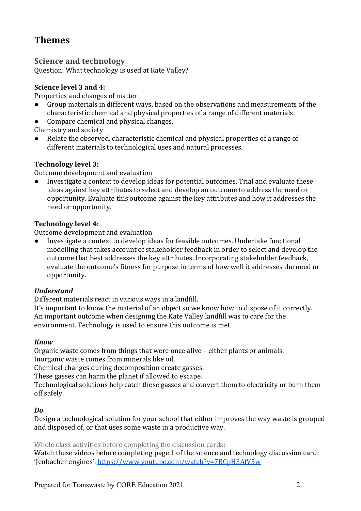# **Themes**

### **Science and technology**

Question: What technology is used at Kate Valley?

#### **Science level 3 and 4:**

Properties and changes of matter

- Group materials in different ways, based on the observations and measurements of the characteristic chemical and physical properties of a range of different materials.
- Compare chemical and physical changes.

Chemistry and society

 $\bullet$  Relate the observed, characteristic chemical and physical properties of a range of different materials to technological uses and natural processes.

#### **Technology level 3:**

Outcome development and evaluation

• Investigate a context to develop ideas for potential outcomes. Trial and evaluate these ideas against key attributes to select and develop an outcome to address the need or opportunity. Evaluate this outcome against the key attributes and how it addresses the need or opportunity.

#### **Technology level 4:**

Outcome development and evaluation

• Investigate a context to develop ideas for feasible outcomes. Undertake functional modelling that takes account of stakeholder feedback in order to select and develop the outcome that best addresses the key attributes. Incorporating stakeholder feedback, evaluate the outcome's fitness for purpose in terms of how well it addresses the need or opportunity.

#### *Understand*

Different materials react in various ways in a landfill.

It's important to know the material of an object so we know how to dispose of it correctly. An important outcome when designing the Kate Valley landfill was to care for the environment. Technology is used to ensure this outcome is met.

#### *Know*

Organic waste comes from things that were once alive – either plants or animals. Inorganic waste comes from minerals like oil.

Chemical changes during decomposition create gasses.

These gasses can harm the planet if allowed to escape.

Technological solutions help catch these gasses and convert them to electricity or burn them off safely.

#### *Do*

Design a technological solution for your school that either improves the way waste is grouped and disposed of, or that uses some waste in a productive way.

Whole class activities before completing the discussion cards:

Watch these videos before completing page 1 of the science and technology discussion card: 'Jenbacher engines'. https://www.youtube.com/watch?v=7BCpH3AfV5w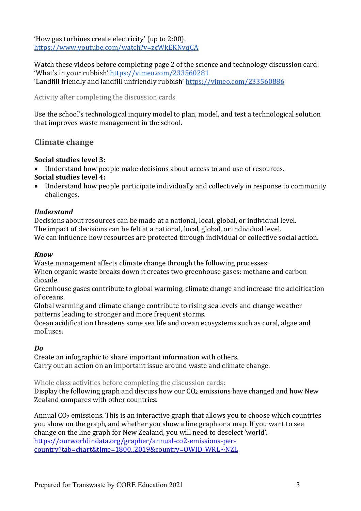'How gas turbines create electricity' (up to 2:00). https://www.youtube.com/watch?v=zcWkEKNvqCA

Watch these videos before completing page 2 of the science and technology discussion card: 'What's in your rubbish' https://vimeo.com/233560281 'Landfill friendly and landfill unfriendly rubbish' https://vimeo.com/233560886

Activity after completing the discussion cards

Use the school's technological inquiry model to plan, model, and test a technological solution that improves waste management in the school.

### **Climate change**

#### **Social studies level 3:**

• Understand how people make decisions about access to and use of resources. **Social studies level 4:** 

• Understand how people participate individually and collectively in response to community challenges.

#### *Understand*

Decisions about resources can be made at a national, local, global, or individual level. The impact of decisions can be felt at a national, local, global, or individual level. We can influence how resources are protected through individual or collective social action.

#### *Know*

Waste management affects climate change through the following processes:

When organic waste breaks down it creates two greenhouse gases: methane and carbon dioxide. 

Greenhouse gases contribute to global warming, climate change and increase the acidification of oceans.

Global warming and climate change contribute to rising sea levels and change weather patterns leading to stronger and more frequent storms.

Ocean acidification threatens some sea life and ocean ecosystems such as coral, algae and molluscs.

#### *Do*

Create an infographic to share important information with others. Carry out an action on an important issue around waste and climate change.

Whole class activities before completing the discussion cards:

Display the following graph and discuss how our  $CO<sub>2</sub>$  emissions have changed and how New Zealand compares with other countries.

Annual  $CO<sub>2</sub>$  emissions. This is an interactive graph that allows you to choose which countries you show on the graph, and whether you show a line graph or a map. If you want to see change on the line graph for New Zealand, you will need to deselect 'world'. https://ourworldindata.org/grapher/annual-co2-emissions-percountry?tab=chart&time=1800..2019&country=OWID\_WRL~NZL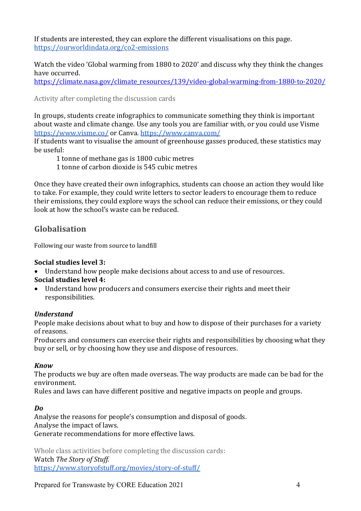If students are interested, they can explore the different visualisations on this page. https://ourworldindata.org/co2-emissions

Watch the video 'Global warming from 1880 to 2020' and discuss why they think the changes have occurred.

https://climate.nasa.gov/climate\_resources/139/video-global-warming-from-1880-to-2020/

Activity after completing the discussion cards

In groups, students create infographics to communicate something they think is important about waste and climate change. Use any tools you are familiar with, or you could use Visme https://www.visme.co/ or Canva. https://www.canva.com/

If students want to visualise the amount of greenhouse gasses produced, these statistics may be useful:

1 tonne of methane gas is 1800 cubic metres

1 tonne of carbon dioxide is 545 cubic metres

Once they have created their own infographics, students can choose an action they would like to take. For example, they could write letters to sector leaders to encourage them to reduce their emissions, they could explore ways the school can reduce their emissions, or they could look at how the school's waste can be reduced.

### **Globalisation**

Following our waste from source to landfill

#### **Social studies level 3:**

- Understand how people make decisions about access to and use of resources. **Social studies level 4:**
- Understand how producers and consumers exercise their rights and meet their responsibilities.

#### *Understand*

People make decisions about what to buy and how to dispose of their purchases for a variety of reasons.

Producers and consumers can exercise their rights and responsibilities by choosing what they buy or sell, or by choosing how they use and dispose of resources.

#### *Know*

The products we buy are often made overseas. The way products are made can be bad for the environment. 

Rules and laws can have different positive and negative impacts on people and groups.

#### *Do*

Analyse the reasons for people's consumption and disposal of goods. Analyse the impact of laws. Generate recommendations for more effective laws.

Whole class activities before completing the discussion cards: Watch *The Story of Stuff.* https://www.storyofstuff.org/movies/story-of-stuff/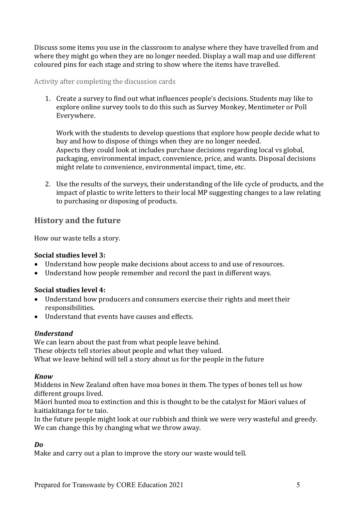Discuss some items you use in the classroom to analyse where they have travelled from and where they might go when they are no longer needed. Display a wall map and use different coloured pins for each stage and string to show where the items have travelled.

#### Activity after completing the discussion cards

1. Create a survey to find out what influences people's decisions. Students may like to explore online survey tools to do this such as Survey Monkey, Mentimeter or Poll Everywhere.

Work with the students to develop questions that explore how people decide what to buy and how to dispose of things when they are no longer needed. Aspects they could look at includes purchase decisions regarding local vs global, packaging, environmental impact, convenience, price, and wants. Disposal decisions might relate to convenience, environmental impact, time, etc.

2. Use the results of the surveys, their understanding of the life cycle of products, and the impact of plastic to write letters to their local MP suggesting changes to a law relating to purchasing or disposing of products.

### **History and the future**

How our waste tells a story.

#### **Social studies level 3:**

- Understand how people make decisions about access to and use of resources.
- Understand how people remember and record the past in different ways.

#### **Social studies level 4:**

- Understand how producers and consumers exercise their rights and meet their responsibilities.
- Understand that events have causes and effects.

#### *Understand*

We can learn about the past from what people leave behind. These objects tell stories about people and what they valued. What we leave behind will tell a story about us for the people in the future

#### *Know*

Middens in New Zealand often have moa bones in them. The types of bones tell us how different groups lived.

Māori hunted moa to extinction and this is thought to be the catalyst for Māori values of kaitiakitanga for te taio.

In the future people might look at our rubbish and think we were very wasteful and greedy. We can change this by changing what we throw away.

#### *Do*

Make and carry out a plan to improve the story our waste would tell.